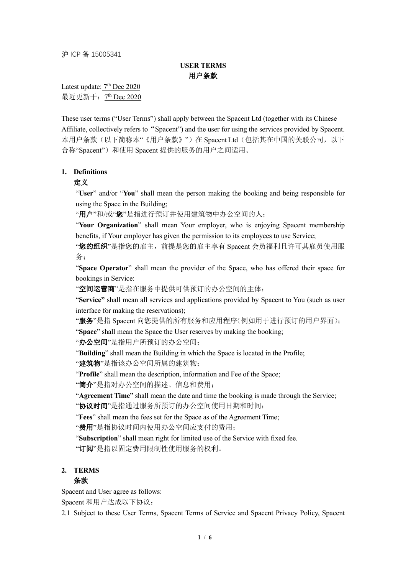沪 ICP 备 15005341

# **USER TERMS** 用户条款

Latest update: 7<sup>th</sup> Dec 2020 最近更新于: 7<sup>th</sup> Dec 2020

These user terms ("User Terms") shall apply between the Spacent Ltd (together with its Chinese Affiliate, collectively refers to "Spacent") and the user for using the services provided by Spacent. 本用户条款(以下简称本"《用户条款》")在 Spacent Ltd(包括其在中国的关联公司,以下 合称"Spacent")和使用 Spacent 提供的服务的用户之间适用。

## **1. Definitions**

## 定义

"**User**" and/or "**You**" shall mean the person making the booking and being responsible for using the Space in the Building;

"用户"和/或"您"是指进行预订并使用建筑物中办公空间的人;

"Your Organization" shall mean Your employer, who is enjoying Spacent membership benefits, if Your employer has given the permission to its employees to use Service;

"您的组织"是指您的雇主, 前提是您的雇主享有 Spacent 会员福利且许可其雇员使用服 务;

"**Space Operator**" shall mean the provider of the Space, who has offered their space for bookings in Service:

"空间运营商"是指在服务中提供可供预订的办公空间的主体;

"**Service"** shall mean all services and applications provided by Spacent to You (such as user interface for making the reservations);

"服务"是指 Spacent 向您提供的所有服务和应用程序(例如用于进行预订的用户界面);

"**Space**" shall mean the Space the User reserves by making the booking;

"办公空间"是指用户所预订的办公空间;

"**Building**" shall mean the Building in which the Space is located in the Profile;

"建筑物"是指该办公空间所属的建筑物;

"Profile" shall mean the description, information and Fee of the Space;

"简介"是指对办公空间的描述、信息和费用;

"**Agreement Time**" shall mean the date and time the booking is made through the Service; "协议时间"是指通过服务所预订的办公空间使用日期和时间;

"**Fees**" shall mean the fees set for the Space as of the Agreement Time;

"费用"是指协议时间内使用办公空间应支付的费用;

"**Subscription**" shall mean right for limited use of the Service with fixed fee. "订阅"是指以固定费用限制性使用服务的权利。

#### **2. TERMS**

#### 条款

Spacent and User agree as follows:

Spacent 和用户达成以下协议:

2.1 Subject to these User Terms, Spacent Terms of Service and Spacent Privacy Policy, Spacent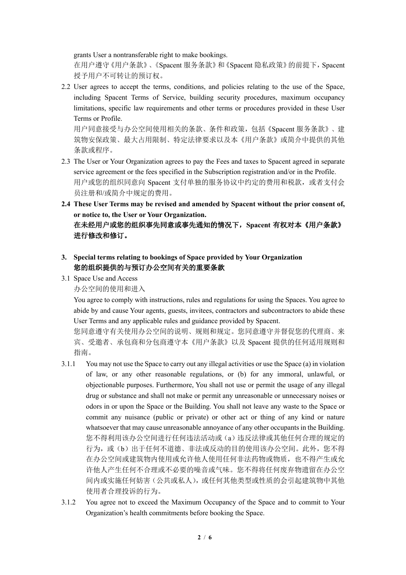grants User a nontransferable right to make bookings.

在用户遵守《用户条款》、《Spacent 服务条款》和《Spacent 隐私政策》的前提下,Spacent 授予用户不可转让的预订权。

2.2 User agrees to accept the terms, conditions, and policies relating to the use of the Space, including Spacent Terms of Service, building security procedures, maximum occupancy limitations, specific law requirements and other terms or procedures provided in these User Terms or Profile.

用户同意接受与办公空间使用相关的条款、条件和政策,包括《Spacent 服务条款》、建 筑物安保政策、最大占用限制、特定法律要求以及本《用户条款》或简介中提供的其他 条款或程序。

- 2.3 The User or Your Organization agrees to pay the Fees and taxes to Spacent agreed in separate service agreement or the fees specified in the Subscription registration and/or in the Profile. 用户或您的组织同意向 Spacent 支付单独的服务协议中约定的费用和税款, 或者支付会 员注册和/或简介中规定的费用。
- **2.4 These User Terms may be revised and amended by Spacent without the prior consent of, or notice to, the User or Your Organization.** 在未经用户或您的组织事先同意或事先通知的情况下,**Spacent** 有权对本《用户条款》

进行修改和修订。

- **3. Special terms relating to bookings of Space provided by Your Organization** 您的组织提供的与预订办公空间有关的重要条款
- 3.1 Space Use and Access

办公空间的使用和进入

You agree to comply with instructions, rules and regulations for using the Spaces. You agree to abide by and cause Your agents, guests, invitees, contractors and subcontractors to abide these User Terms and any applicable rules and guidance provided by Spacent.

您同意遵守有关使用办公空间的说明、规则和规定。您同意遵守并督促您的代理商、来 宾、受邀者、承包商和分包商遵守本《用户条款》以及 Spacent 提供的任何适用规则和 指南。

- 3.1.1 You may not use the Space to carry out any illegal activities or use the Space (a) in violation of law, or any other reasonable regulations, or (b) for any immoral, unlawful, or objectionable purposes. Furthermore, You shall not use or permit the usage of any illegal drug or substance and shall not make or permit any unreasonable or unnecessary noises or odors in or upon the Space or the Building. You shall not leave any waste to the Space or commit any nuisance (public or private) or other act or thing of any kind or nature whatsoever that may cause unreasonable annoyance of any other occupants in the Building. 您不得利用该办公空间进行任何违法活动或(a)违反法律或其他任何合理的规定的 行为, 或(b)出于任何不道德、非法或反动的目的使用该办公空间。此外, 您不得 在办公空间或建筑物内使用或允许他人使用任何非法药物或物质,也不得产生或允 许他人产生任何不合理或不必要的噪音或气味。您不得将任何废弃物遗留在办公空 间内或实施任何妨害(公共或私人),或任何其他类型或性质的会引起建筑物中其他 使用者合理投诉的行为。
- 3.1.2 You agree not to exceed the Maximum Occupancy of the Space and to commit to Your Organization's health commitments before booking the Space.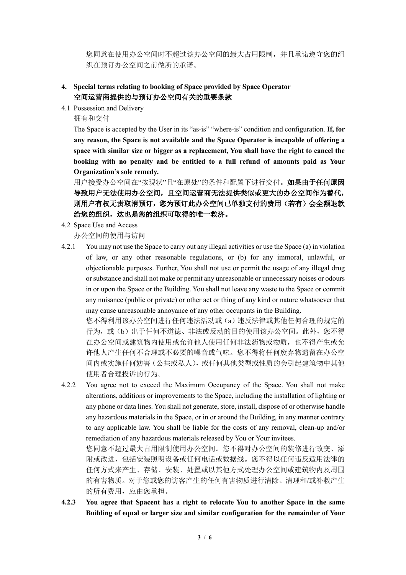您同意在使用办公空间时不超过该办公空间的最大占用限制,并且承诺遵守您的组 织在预订办公空间之前做所的承诺。

## **4. Special terms relating to booking of Space provided by Space Operator** 空间运营商提供的与预订办公空间有关的重要条款

- 4.1 Possession and Delivery
	- 拥有和交付

The Space is accepted by the User in its "as-is" "where-is" condition and configuration. **If, for any reason, the Space is not available and the Space Operator is incapable of offering a space with similar size or bigger as a replacement, You shall have the right to cancel the booking with no penalty and be entitled to a full refund of amounts paid as Your Organization's sole remedy.**

用户接受办公空间在"按现状"且"在原处"的条件和配置下进行交付。如果由于任何原因 导致用户无法使用办公空间,且空间运营商无法提供类似或更大的办公空间作为替代, 则用户有权无责取消预订,您为预订此办公空间已单独支付的费用(若有)会全额退款 给您的组织,这也是您的组织可取得的唯一救济。

4.2 Space Use and Access

办公空间的使用与访问

4.2.1 You may not use the Space to carry out any illegal activities or use the Space (a) in violation of law, or any other reasonable regulations, or (b) for any immoral, unlawful, or objectionable purposes. Further, You shall not use or permit the usage of any illegal drug or substance and shall not make or permit any unreasonable or unnecessary noises or odours in or upon the Space or the Building. You shall not leave any waste to the Space or commit any nuisance (public or private) or other act or thing of any kind or nature whatsoever that may cause unreasonable annoyance of any other occupants in the Building.

您不得利用该办公空间进行任何违法活动或(a)违反法律或其他任何合理的规定的 行为, 或(b)出于任何不道德、非法或反动的目的使用该办公空间。此外, 您不得 在办公空间或建筑物内使用或允许他人使用任何非法药物或物质,也不得产生或允 许他人产生任何不合理或不必要的噪音或气味。您不得将任何废弃物遗留在办公空 间内或实施任何妨害(公共或私人),或任何其他类型或性质的会引起建筑物中其他 使用者合理投诉的行为。

4.2.2 You agree not to exceed the Maximum Occupancy of the Space. You shall not make alterations, additions or improvements to the Space, including the installation of lighting or any phone or data lines. You shall not generate, store, install, dispose of or otherwise handle any hazardous materials in the Space, or in or around the Building, in any manner contrary to any applicable law. You shall be liable for the costs of any removal, clean-up and/or remediation of any hazardous materials released by You or Your invitees.

您同意不超过最大占用限制使用办公空间。您不得对办公空间的装修进行改变、添 附或改进,包括安装照明设备或任何电话或数据线。您不得以任何违反适用法律的 任何方式来产生、存储、安装、处置或以其他方式处理办公空间或建筑物内及周围 的有害物质。对于您或您的访客产生的任何有害物质进行清除、清理和/或补救产生 的所有费用,应由您承担。

**4.2.3 You agree that Spacent has a right to relocate You to another Space in the same Building of equal or larger size and similar configuration for the remainder of Your**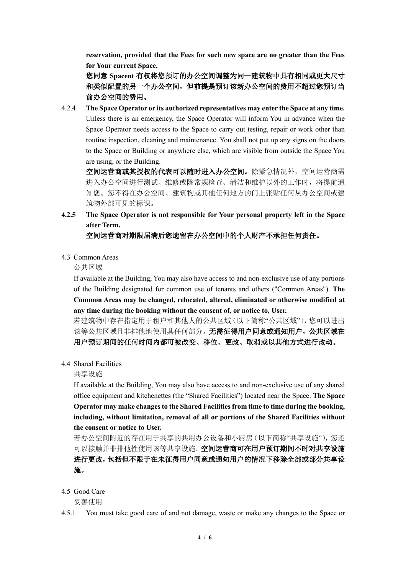**reservation, provided that the Fees for such new space are no greater than the Fees for Your current Space.**

您同意 **Spacent** 有权将您预订的办公空间调整为同一建筑物中具有相同或更大尺寸 和类似配置的另一个办公空间,但前提是预订该新办公空间的费用不超过您预订当 前办公空间的费用。

4.2.4 **The Space Operator or its authorized representatives may enter the Space at any time.**  Unless there is an emergency, the Space Operator will inform You in advance when the Space Operator needs access to the Space to carry out testing, repair or work other than routine inspection, cleaning and maintenance. You shall not put up any signs on the doors to the Space or Building or anywhere else, which are visible from outside the Space You are using, or the Building.

空间运营商或其授权的代表可以随时进入办公空间。除紧急情况外,空间运营商需 进入办公空间进行测试、维修或除常规检查、清洁和维护以外的工作时,将提前通 知您。您不得在办公空间、建筑物或其他任何地方的门上张贴任何从办公空间或建 筑物外部可见的标识。

**4.2.5 The Space Operator is not responsible for Your personal property left in the Space after Term.**

#### 空间运营商对期限届满后您遗留在办公空间中的个人财产不承担任何责任。

4.3 Common Areas

公共区域

If available at the Building, You may also have access to and non-exclusive use of any portions of the Building designated for common use of tenants and others ("Common Areas"). **The Common Areas may be changed, relocated, altered, eliminated or otherwise modified at any time during the booking without the consent of, or notice to, User.**

若建筑物中存在指定用于租户和其他人的公共区域(以下简称"公共区域"),您可以进出 该等公共区域且非排他地使用其任何部分。无需征得用户同意或通知用户,公共区域在 用户预订期间的任何时间内都可被改变、移位、更改、取消或以其他方式进行改动。

4.4 Shared Facilities

共享设施

If available at the Building, You may also have access to and non-exclusive use of any shared office equipment and kitchenettes (the "Shared Facilities") located near the Space. **The Space Operator may make changes to the Shared Facilities from time to time during the booking, including, without limitation, removal of all or portions of the Shared Facilities without the consent or notice to User.**

若办公空间附近的存在用于共享的共用办公设备和小厨房(以下简称"共享设施"),您还 可以接触并非排他性使用该等共享设施。空间运营商可在用户预订期间不时对共享设施 进行更改,包括但不限于在未征得用户同意或通知用户的情况下移除全部或部分共享设 施。

4.5 Good Care

妥善使用

4.5.1 You must take good care of and not damage, waste or make any changes to the Space or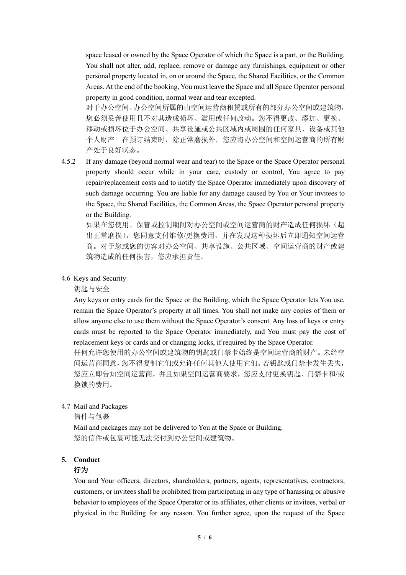space leased or owned by the Space Operator of which the Space is a part, or the Building. You shall not alter, add, replace, remove or damage any furnishings, equipment or other personal property located in, on or around the Space, the Shared Facilities, or the Common Areas. At the end of the booking, You must leave the Space and all Space Operator personal property in good condition, normal wear and tear excepted.

对于办公空间、办公空间所属的由空间运营商租赁或所有的部分办公空间或建筑物, 您必须妥善使用且不对其造成损坏、滥用或任何改动。您不得更改、添加、更换、 移动或损坏位于办公空间、共享设施或公共区域内或周围的任何家具、设备或其他 个人财产。在预订结束时,除正常磨损外,您应将办公空间和空间运营商的所有财 产处于良好状态。

4.5.2 If any damage (beyond normal wear and tear) to the Space or the Space Operator personal property should occur while in your care, custody or control, You agree to pay repair/replacement costs and to notify the Space Operator immediately upon discovery of such damage occurring. You are liable for any damage caused by You or Your invitees to the Space, the Shared Facilities, the Common Areas, the Space Operator personal property or the Building.

如果在您使用、保管或控制期间对办公空间或空间运营商的财产造成任何损坏(超 出正常磨损),您同意支付维修/更换费用,并在发现这种损坏后立即通知空间运营 商。对于您或您的访客对办公空间、共享设施、公共区域、空间运营商的财产或建 筑物造成的任何损害,您应承担责任。

## 4.6 Keys and Security

钥匙与安全

Any keys or entry cards for the Space or the Building, which the Space Operator lets You use, remain the Space Operator's property at all times. You shall not make any copies of them or allow anyone else to use them without the Space Operator's consent. Any loss of keys or entry cards must be reported to the Space Operator immediately, and You must pay the cost of replacement keys or cards and or changing locks, if required by the Space Operator. 任何允许您使用的办公空间或建筑物的钥匙或门禁卡始终是空间运营商的财产。未经空

间运营商同意,您不得复制它们或允许任何其他人使用它们。若钥匙或门禁卡发生丢失, 您应立即告知空间运营商,并且如果空间运营商要求,您应支付更换钥匙、门禁卡和/或 换锁的费用。

## 4.7 Mail and Packages

信件与包裹

Mail and packages may not be delivered to You at the Space or Building. 您的信件或包裹可能无法交付到办公空间或建筑物。

# **5. Conduct**

## 行为

You and Your officers, directors, shareholders, partners, agents, representatives, contractors, customers, or invitees shall be prohibited from participating in any type of harassing or abusive behavior to employees of the Space Operator or its affiliates, other clients or invitees, verbal or physical in the Building for any reason. You further agree, upon the request of the Space